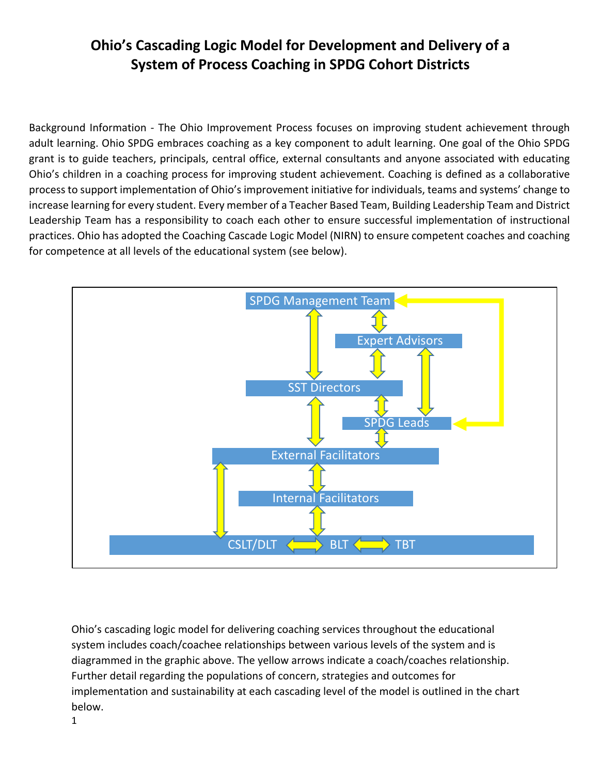Background Information - The Ohio Improvement Process focuses on improving student achievement through adult learning. Ohio SPDG embraces coaching as a key component to adult learning. One goal of the Ohio SPDG grant is to guide teachers, principals, central office, external consultants and anyone associated with educating Ohio's children in a coaching process for improving student achievement. Coaching is defined as a collaborative process to support implementation of Ohio's improvement initiative for individuals, teams and systems' change to increase learning for every student. Every member of a Teacher Based Team, Building Leadership Team and District Leadership Team has a responsibility to coach each other to ensure successful implementation of instructional practices. Ohio has adopted the Coaching Cascade Logic Model (NIRN) to ensure competent coaches and coaching for competence at all levels of the educational system (see below).



Ohio's cascading logic model for delivering coaching services throughout the educational system includes coach/coachee relationships between various levels of the system and is diagrammed in the graphic above. The yellow arrows indicate a coach/coaches relationship. Further detail regarding the populations of concern, strategies and outcomes for implementation and sustainability at each cascading level of the model is outlined in the chart below.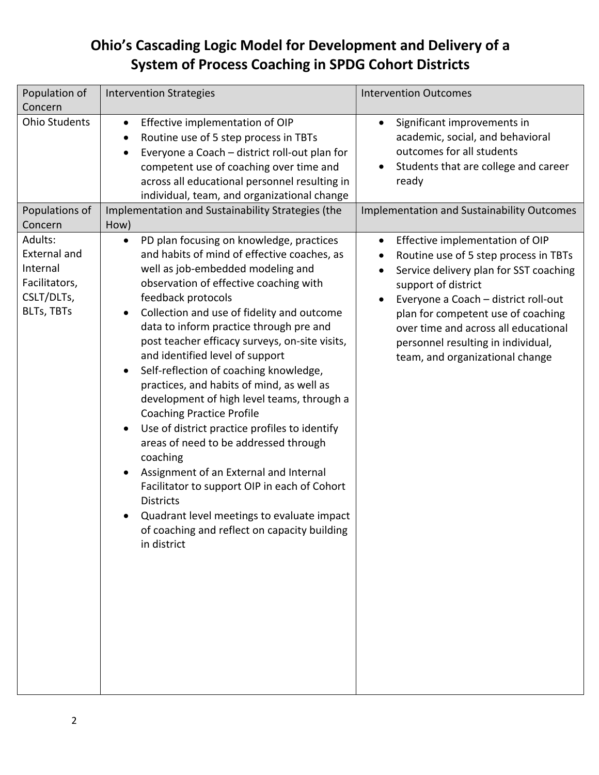| Population of<br>Concern                                                                       | <b>Intervention Strategies</b>                                                                                                                                                                                                                                                                                                                                                                                                                                                                                                                                                                                                                                                                                                                                                                                                                                                                    | <b>Intervention Outcomes</b>                                                                                                                                                                                                                                                                                                                          |
|------------------------------------------------------------------------------------------------|---------------------------------------------------------------------------------------------------------------------------------------------------------------------------------------------------------------------------------------------------------------------------------------------------------------------------------------------------------------------------------------------------------------------------------------------------------------------------------------------------------------------------------------------------------------------------------------------------------------------------------------------------------------------------------------------------------------------------------------------------------------------------------------------------------------------------------------------------------------------------------------------------|-------------------------------------------------------------------------------------------------------------------------------------------------------------------------------------------------------------------------------------------------------------------------------------------------------------------------------------------------------|
| <b>Ohio Students</b>                                                                           | Effective implementation of OIP<br>$\bullet$<br>Routine use of 5 step process in TBTs<br>Everyone a Coach - district roll-out plan for<br>competent use of coaching over time and<br>across all educational personnel resulting in<br>individual, team, and organizational change                                                                                                                                                                                                                                                                                                                                                                                                                                                                                                                                                                                                                 | Significant improvements in<br>$\bullet$<br>academic, social, and behavioral<br>outcomes for all students<br>Students that are college and career<br>ready                                                                                                                                                                                            |
| Populations of<br>Concern                                                                      | Implementation and Sustainability Strategies (the<br>How)                                                                                                                                                                                                                                                                                                                                                                                                                                                                                                                                                                                                                                                                                                                                                                                                                                         | <b>Implementation and Sustainability Outcomes</b>                                                                                                                                                                                                                                                                                                     |
| Adults:<br><b>External and</b><br>Internal<br>Facilitators,<br>CSLT/DLTs,<br><b>BLTs, TBTs</b> | PD plan focusing on knowledge, practices<br>$\bullet$<br>and habits of mind of effective coaches, as<br>well as job-embedded modeling and<br>observation of effective coaching with<br>feedback protocols<br>Collection and use of fidelity and outcome<br>data to inform practice through pre and<br>post teacher efficacy surveys, on-site visits,<br>and identified level of support<br>Self-reflection of coaching knowledge,<br>practices, and habits of mind, as well as<br>development of high level teams, through a<br><b>Coaching Practice Profile</b><br>Use of district practice profiles to identify<br>areas of need to be addressed through<br>coaching<br>Assignment of an External and Internal<br>Facilitator to support OIP in each of Cohort<br><b>Districts</b><br>Quadrant level meetings to evaluate impact<br>of coaching and reflect on capacity building<br>in district | Effective implementation of OIP<br>$\bullet$<br>Routine use of 5 step process in TBTs<br>Service delivery plan for SST coaching<br>support of district<br>Everyone a Coach - district roll-out<br>plan for competent use of coaching<br>over time and across all educational<br>personnel resulting in individual,<br>team, and organizational change |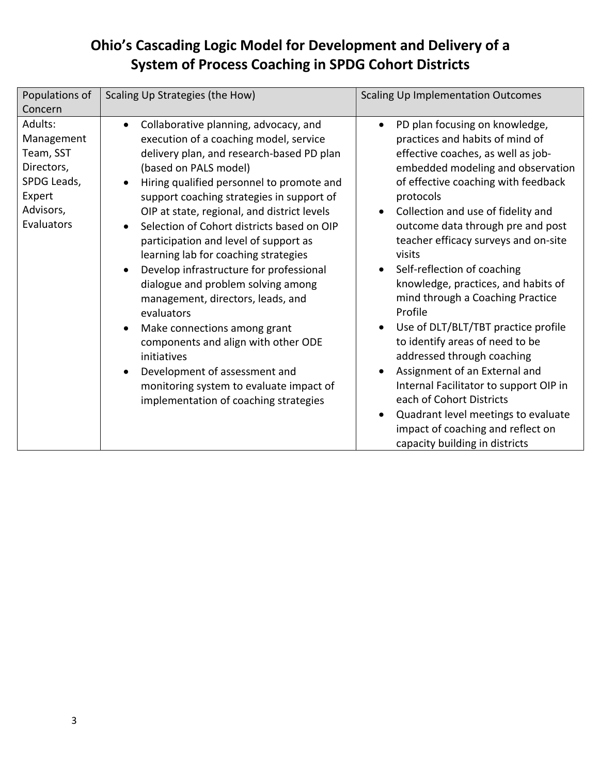| Populations of<br>Concern                                                                            | Scaling Up Strategies (the How)                                                                                                                                                                                                                                                                                                                                                                                                                                                                                                                                                                                                                                                                                                                                                                                                                            | <b>Scaling Up Implementation Outcomes</b>                                                                                                                                                                                                                                                                                                                                                                                                                                                                                                                                                                                                                                                                                                                                                    |
|------------------------------------------------------------------------------------------------------|------------------------------------------------------------------------------------------------------------------------------------------------------------------------------------------------------------------------------------------------------------------------------------------------------------------------------------------------------------------------------------------------------------------------------------------------------------------------------------------------------------------------------------------------------------------------------------------------------------------------------------------------------------------------------------------------------------------------------------------------------------------------------------------------------------------------------------------------------------|----------------------------------------------------------------------------------------------------------------------------------------------------------------------------------------------------------------------------------------------------------------------------------------------------------------------------------------------------------------------------------------------------------------------------------------------------------------------------------------------------------------------------------------------------------------------------------------------------------------------------------------------------------------------------------------------------------------------------------------------------------------------------------------------|
| Adults:<br>Management<br>Team, SST<br>Directors,<br>SPDG Leads,<br>Expert<br>Advisors,<br>Evaluators | Collaborative planning, advocacy, and<br>$\bullet$<br>execution of a coaching model, service<br>delivery plan, and research-based PD plan<br>(based on PALS model)<br>Hiring qualified personnel to promote and<br>$\bullet$<br>support coaching strategies in support of<br>OIP at state, regional, and district levels<br>Selection of Cohort districts based on OIP<br>$\bullet$<br>participation and level of support as<br>learning lab for coaching strategies<br>Develop infrastructure for professional<br>$\bullet$<br>dialogue and problem solving among<br>management, directors, leads, and<br>evaluators<br>Make connections among grant<br>$\bullet$<br>components and align with other ODE<br>initiatives<br>Development of assessment and<br>$\bullet$<br>monitoring system to evaluate impact of<br>implementation of coaching strategies | PD plan focusing on knowledge,<br>$\bullet$<br>practices and habits of mind of<br>effective coaches, as well as job-<br>embedded modeling and observation<br>of effective coaching with feedback<br>protocols<br>Collection and use of fidelity and<br>outcome data through pre and post<br>teacher efficacy surveys and on-site<br>visits<br>Self-reflection of coaching<br>knowledge, practices, and habits of<br>mind through a Coaching Practice<br>Profile<br>Use of DLT/BLT/TBT practice profile<br>to identify areas of need to be<br>addressed through coaching<br>Assignment of an External and<br>Internal Facilitator to support OIP in<br>each of Cohort Districts<br>Quadrant level meetings to evaluate<br>impact of coaching and reflect on<br>capacity building in districts |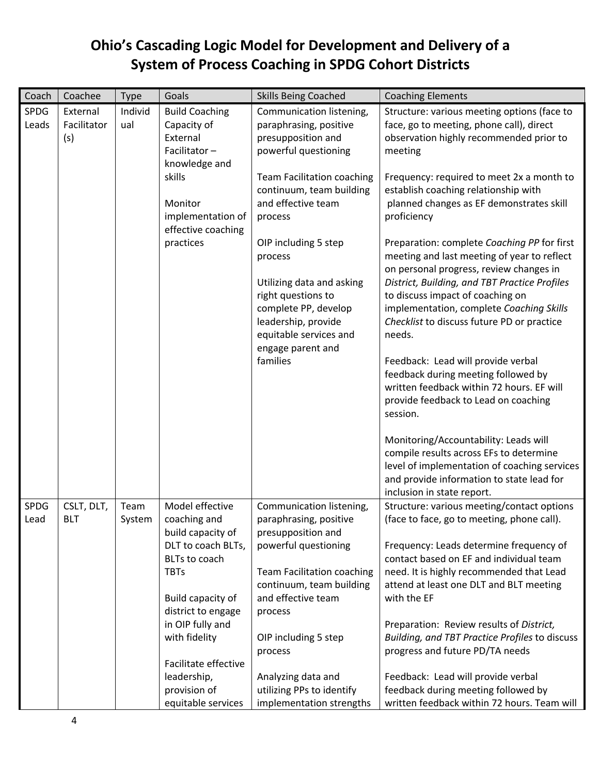| Coach                | Coachee                        | Type           | Goals                                                                                         | <b>Skills Being Coached</b>                                                                                                       | <b>Coaching Elements</b>                                                                                                                                                                                                                                                                                             |
|----------------------|--------------------------------|----------------|-----------------------------------------------------------------------------------------------|-----------------------------------------------------------------------------------------------------------------------------------|----------------------------------------------------------------------------------------------------------------------------------------------------------------------------------------------------------------------------------------------------------------------------------------------------------------------|
| <b>SPDG</b><br>Leads | External<br>Facilitator<br>(s) | Individ<br>ual | <b>Build Coaching</b><br>Capacity of<br>External<br>Facilitator-<br>knowledge and             | Communication listening,<br>paraphrasing, positive<br>presupposition and<br>powerful questioning                                  | Structure: various meeting options (face to<br>face, go to meeting, phone call), direct<br>observation highly recommended prior to<br>meeting                                                                                                                                                                        |
|                      |                                |                | skills<br>Monitor<br>implementation of<br>effective coaching                                  | <b>Team Facilitation coaching</b><br>continuum, team building<br>and effective team<br>process                                    | Frequency: required to meet 2x a month to<br>establish coaching relationship with<br>planned changes as EF demonstrates skill<br>proficiency                                                                                                                                                                         |
|                      |                                |                | practices                                                                                     | OIP including 5 step<br>process<br>Utilizing data and asking<br>right questions to<br>complete PP, develop<br>leadership, provide | Preparation: complete Coaching PP for first<br>meeting and last meeting of year to reflect<br>on personal progress, review changes in<br>District, Building, and TBT Practice Profiles<br>to discuss impact of coaching on<br>implementation, complete Coaching Skills<br>Checklist to discuss future PD or practice |
|                      |                                |                |                                                                                               | equitable services and<br>engage parent and<br>families                                                                           | needs.<br>Feedback: Lead will provide verbal<br>feedback during meeting followed by<br>written feedback within 72 hours. EF will<br>provide feedback to Lead on coaching<br>session.                                                                                                                                 |
|                      |                                |                |                                                                                               |                                                                                                                                   | Monitoring/Accountability: Leads will<br>compile results across EFs to determine<br>level of implementation of coaching services<br>and provide information to state lead for<br>inclusion in state report.                                                                                                          |
| SPDG<br>Lead         | CSLT, DLT,<br><b>BLT</b>       | Team<br>System | Model effective<br>coaching and<br>build capacity of                                          | Communication listening,<br>paraphrasing, positive<br>presupposition and                                                          | Structure: various meeting/contact options<br>(face to face, go to meeting, phone call).                                                                                                                                                                                                                             |
|                      |                                |                | DLT to coach BLTs,<br>BLTs to coach<br><b>TBTs</b><br>Build capacity of<br>district to engage | powerful questioning<br><b>Team Facilitation coaching</b><br>continuum, team building<br>and effective team<br>process            | Frequency: Leads determine frequency of<br>contact based on EF and individual team<br>need. It is highly recommended that Lead<br>attend at least one DLT and BLT meeting<br>with the EF                                                                                                                             |
|                      |                                |                | in OIP fully and<br>with fidelity<br>Facilitate effective<br>leadership,<br>provision of      | OIP including 5 step<br>process<br>Analyzing data and<br>utilizing PPs to identify                                                | Preparation: Review results of District,<br>Building, and TBT Practice Profiles to discuss<br>progress and future PD/TA needs<br>Feedback: Lead will provide verbal<br>feedback during meeting followed by                                                                                                           |
|                      |                                |                | equitable services                                                                            | implementation strengths                                                                                                          | written feedback within 72 hours. Team will                                                                                                                                                                                                                                                                          |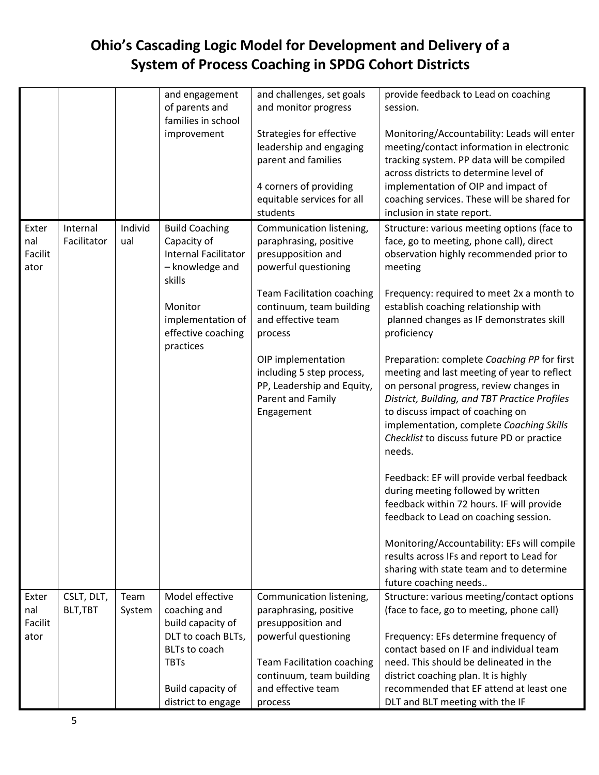|         |             |         | and engagement              | and challenges, set goals         | provide feedback to Lead on coaching          |
|---------|-------------|---------|-----------------------------|-----------------------------------|-----------------------------------------------|
|         |             |         | of parents and              | and monitor progress              | session.                                      |
|         |             |         | families in school          |                                   |                                               |
|         |             |         | improvement                 | Strategies for effective          | Monitoring/Accountability: Leads will enter   |
|         |             |         |                             | leadership and engaging           | meeting/contact information in electronic     |
|         |             |         |                             | parent and families               | tracking system. PP data will be compiled     |
|         |             |         |                             |                                   | across districts to determine level of        |
|         |             |         |                             | 4 corners of providing            | implementation of OIP and impact of           |
|         |             |         |                             | equitable services for all        | coaching services. These will be shared for   |
|         |             |         |                             | students                          | inclusion in state report.                    |
| Exter   | Internal    | Individ | <b>Build Coaching</b>       | Communication listening,          | Structure: various meeting options (face to   |
| nal     | Facilitator | ual     | Capacity of                 | paraphrasing, positive            | face, go to meeting, phone call), direct      |
| Facilit |             |         | <b>Internal Facilitator</b> | presupposition and                | observation highly recommended prior to       |
| ator    |             |         | - knowledge and             | powerful questioning              | meeting                                       |
|         |             |         | skills                      |                                   |                                               |
|         |             |         |                             | <b>Team Facilitation coaching</b> | Frequency: required to meet 2x a month to     |
|         |             |         | Monitor                     | continuum, team building          | establish coaching relationship with          |
|         |             |         | implementation of           | and effective team                | planned changes as IF demonstrates skill      |
|         |             |         | effective coaching          | process                           | proficiency                                   |
|         |             |         | practices                   |                                   |                                               |
|         |             |         |                             | OIP implementation                | Preparation: complete Coaching PP for first   |
|         |             |         |                             | including 5 step process,         | meeting and last meeting of year to reflect   |
|         |             |         |                             | PP, Leadership and Equity,        | on personal progress, review changes in       |
|         |             |         |                             | Parent and Family                 | District, Building, and TBT Practice Profiles |
|         |             |         |                             | Engagement                        | to discuss impact of coaching on              |
|         |             |         |                             |                                   |                                               |
|         |             |         |                             |                                   | implementation, complete Coaching Skills      |
|         |             |         |                             |                                   | Checklist to discuss future PD or practice    |
|         |             |         |                             |                                   | needs.                                        |
|         |             |         |                             |                                   | Feedback: EF will provide verbal feedback     |
|         |             |         |                             |                                   | during meeting followed by written            |
|         |             |         |                             |                                   |                                               |
|         |             |         |                             |                                   | feedback within 72 hours. IF will provide     |
|         |             |         |                             |                                   | feedback to Lead on coaching session.         |
|         |             |         |                             |                                   |                                               |
|         |             |         |                             |                                   | Monitoring/Accountability: EFs will compile   |
|         |             |         |                             |                                   | results across IFs and report to Lead for     |
|         |             |         |                             |                                   | sharing with state team and to determine      |
|         |             |         |                             |                                   | future coaching needs                         |
| Exter   | CSLT, DLT,  | Team    | Model effective             | Communication listening,          | Structure: various meeting/contact options    |
| nal     | BLT, TBT    | System  | coaching and                | paraphrasing, positive            | (face to face, go to meeting, phone call)     |
| Facilit |             |         | build capacity of           | presupposition and                |                                               |
| ator    |             |         | DLT to coach BLTs,          | powerful questioning              | Frequency: EFs determine frequency of         |
|         |             |         | BLTs to coach               |                                   | contact based on IF and individual team       |
|         |             |         | <b>TBTs</b>                 | <b>Team Facilitation coaching</b> | need. This should be delineated in the        |
|         |             |         |                             | continuum, team building          | district coaching plan. It is highly          |
|         |             |         | Build capacity of           | and effective team                | recommended that EF attend at least one       |
|         |             |         | district to engage          | process                           | DLT and BLT meeting with the IF               |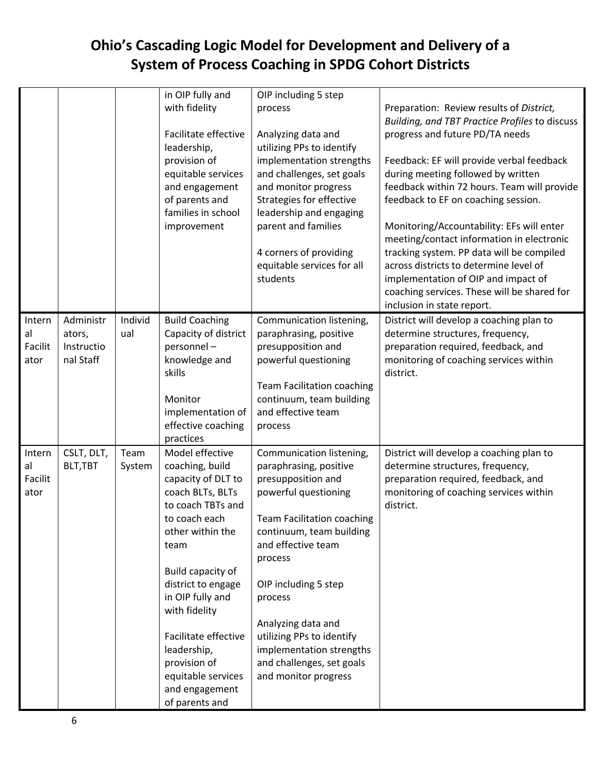|                                 |                                                |                | in OIP fully and<br>with fidelity<br>Facilitate effective<br>leadership,<br>provision of<br>equitable services<br>and engagement<br>of parents and<br>families in school<br>improvement                                                                                                                                                         | OIP including 5 step<br>process<br>Analyzing data and<br>utilizing PPs to identify<br>implementation strengths<br>and challenges, set goals<br>and monitor progress<br>Strategies for effective<br>leadership and engaging<br>parent and families<br>4 corners of providing<br>equitable services for all<br>students                                                     | Preparation: Review results of District,<br>Building, and TBT Practice Profiles to discuss<br>progress and future PD/TA needs<br>Feedback: EF will provide verbal feedback<br>during meeting followed by written<br>feedback within 72 hours. Team will provide<br>feedback to EF on coaching session.<br>Monitoring/Accountability: EFs will enter<br>meeting/contact information in electronic<br>tracking system. PP data will be compiled<br>across districts to determine level of<br>implementation of OIP and impact of<br>coaching services. These will be shared for<br>inclusion in state report. |
|---------------------------------|------------------------------------------------|----------------|-------------------------------------------------------------------------------------------------------------------------------------------------------------------------------------------------------------------------------------------------------------------------------------------------------------------------------------------------|---------------------------------------------------------------------------------------------------------------------------------------------------------------------------------------------------------------------------------------------------------------------------------------------------------------------------------------------------------------------------|-------------------------------------------------------------------------------------------------------------------------------------------------------------------------------------------------------------------------------------------------------------------------------------------------------------------------------------------------------------------------------------------------------------------------------------------------------------------------------------------------------------------------------------------------------------------------------------------------------------|
| Intern<br>al<br>Facilit<br>ator | Administr<br>ators,<br>Instructio<br>nal Staff | Individ<br>ual | <b>Build Coaching</b><br>Capacity of district<br>personnel-<br>knowledge and<br>skills<br>Monitor<br>implementation of<br>effective coaching<br>practices                                                                                                                                                                                       | Communication listening,<br>paraphrasing, positive<br>presupposition and<br>powerful questioning<br><b>Team Facilitation coaching</b><br>continuum, team building<br>and effective team<br>process                                                                                                                                                                        | District will develop a coaching plan to<br>determine structures, frequency,<br>preparation required, feedback, and<br>monitoring of coaching services within<br>district.                                                                                                                                                                                                                                                                                                                                                                                                                                  |
| Intern<br>al<br>Facilit<br>ator | CSLT, DLT,<br>BLT, TBT                         | Team<br>System | Model effective<br>coaching, build<br>capacity of DLT to<br>coach BLTs, BLTs<br>to coach TBTs and<br>to coach each<br>other within the<br>team<br>Build capacity of<br>district to engage<br>in OIP fully and<br>with fidelity<br>Facilitate effective<br>leadership,<br>provision of<br>equitable services<br>and engagement<br>of parents and | Communication listening,<br>paraphrasing, positive<br>presupposition and<br>powerful questioning<br><b>Team Facilitation coaching</b><br>continuum, team building<br>and effective team<br>process<br>OIP including 5 step<br>process<br>Analyzing data and<br>utilizing PPs to identify<br>implementation strengths<br>and challenges, set goals<br>and monitor progress | District will develop a coaching plan to<br>determine structures, frequency,<br>preparation required, feedback, and<br>monitoring of coaching services within<br>district.                                                                                                                                                                                                                                                                                                                                                                                                                                  |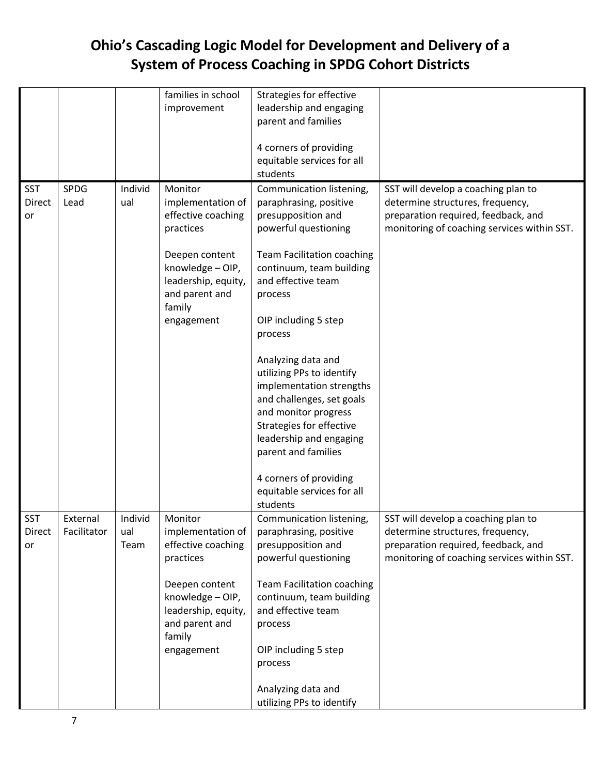|               |             |         | families in school  | Strategies for effective          |                                             |
|---------------|-------------|---------|---------------------|-----------------------------------|---------------------------------------------|
|               |             |         | improvement         | leadership and engaging           |                                             |
|               |             |         |                     | parent and families               |                                             |
|               |             |         |                     |                                   |                                             |
|               |             |         |                     | 4 corners of providing            |                                             |
|               |             |         |                     | equitable services for all        |                                             |
|               |             |         |                     | students                          |                                             |
|               |             |         |                     |                                   |                                             |
| <b>SST</b>    | <b>SPDG</b> | Individ | Monitor             | Communication listening,          | SST will develop a coaching plan to         |
| <b>Direct</b> | Lead        | ual     | implementation of   | paraphrasing, positive            | determine structures, frequency,            |
| or            |             |         | effective coaching  | presupposition and                | preparation required, feedback, and         |
|               |             |         | practices           | powerful questioning              | monitoring of coaching services within SST. |
|               |             |         | Deepen content      | <b>Team Facilitation coaching</b> |                                             |
|               |             |         | knowledge - OIP,    | continuum, team building          |                                             |
|               |             |         | leadership, equity, | and effective team                |                                             |
|               |             |         | and parent and      | process                           |                                             |
|               |             |         | family              |                                   |                                             |
|               |             |         | engagement          | OIP including 5 step              |                                             |
|               |             |         |                     | process                           |                                             |
|               |             |         |                     |                                   |                                             |
|               |             |         |                     | Analyzing data and                |                                             |
|               |             |         |                     | utilizing PPs to identify         |                                             |
|               |             |         |                     | implementation strengths          |                                             |
|               |             |         |                     | and challenges, set goals         |                                             |
|               |             |         |                     | and monitor progress              |                                             |
|               |             |         |                     | Strategies for effective          |                                             |
|               |             |         |                     | leadership and engaging           |                                             |
|               |             |         |                     | parent and families               |                                             |
|               |             |         |                     | 4 corners of providing            |                                             |
|               |             |         |                     | equitable services for all        |                                             |
|               |             |         |                     | students                          |                                             |
| <b>SST</b>    | External    | Individ | Monitor             | Communication listening,          | SST will develop a coaching plan to         |
| Direct        | Facilitator | ual     | implementation of   | paraphrasing, positive            | determine structures, frequency,            |
| or            |             | Team    | effective coaching  | presupposition and                | preparation required, feedback, and         |
|               |             |         | practices           | powerful questioning              | monitoring of coaching services within SST. |
|               |             |         |                     |                                   |                                             |
|               |             |         | Deepen content      | <b>Team Facilitation coaching</b> |                                             |
|               |             |         | knowledge - OIP,    | continuum, team building          |                                             |
|               |             |         | leadership, equity, | and effective team                |                                             |
|               |             |         | and parent and      | process                           |                                             |
|               |             |         | family              |                                   |                                             |
|               |             |         | engagement          | OIP including 5 step              |                                             |
|               |             |         |                     | process                           |                                             |
|               |             |         |                     |                                   |                                             |
|               |             |         |                     | Analyzing data and                |                                             |
|               |             |         |                     | utilizing PPs to identify         |                                             |